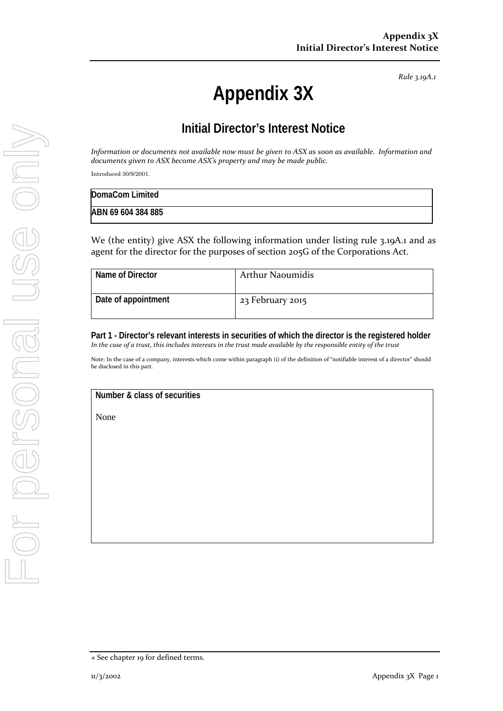*Rule 3.19A.1*

# **Appendix 3X**

## **Initial Director's Interest Notice**

*Information or documents not available now must be given to ASX as soon as available. Information and documents given to ASX become ASX's property and may be made public.*

Introduced 30/9/2001.

| DomaCom Limited    |  |
|--------------------|--|
| ABN 69 604 384 885 |  |

We (the entity) give ASX the following information under listing rule 3.19A.1 and as agent for the director for the purposes of section 205G of the Corporations Act.

| Name of Director    | <b>Arthur Naoumidis</b> |
|---------------------|-------------------------|
| Date of appointment | 23 February 2015        |

**Part 1 - Director's relevant interests in securities of which the director is the registered holder** *In the case of a trust, this includes interests in the trust made available by the responsible entity of the trust*

Note: In the case of a company, interests which come within paragraph (i) of the definition of "notifiable interest of a director" should be disclosed in this part.

#### **Number & class of securities**

None